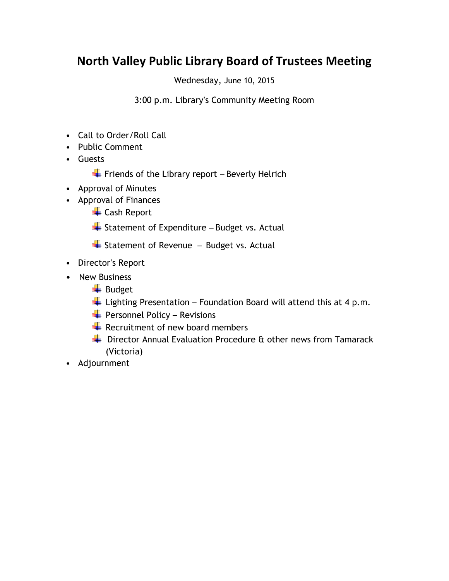## **North Valley Public Library Board of Trustees Meeting**

Wednesday, June 10, 2015

3:00 p.m. Library's Community Meeting Room

- Call to Order/Roll Call
- Public Comment
- Guests
	- $\div$  Friends of the Library report Beverly Helrich
- Approval of Minutes
- Approval of Finances
	- ← Cash Report
	- $\overline{\phantom{a}}$  Statement of Expenditure Budget vs. Actual
	- $\overline{\phantom{a}}$  Statement of Revenue Budget vs. Actual
- Director's Report
- New Business
	- $\overline{\phantom{a}}$  Budget
	- $\overline{\phantom{a}}$  Lighting Presentation Foundation Board will attend this at 4 p.m.
	- $\bigstar$  Personnel Policy Revisions
	- $\bigstar$  Recruitment of new board members
	- ↓ Director Annual Evaluation Procedure & other news from Tamarack (Victoria)
- Adjournment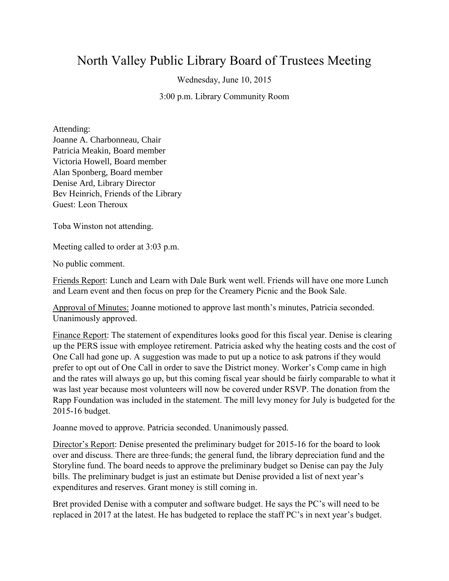## North Valley Public Library Board of Trustees Meeting

Wednesday, June 10, 2015

3:00 p.m. Library Community Room

Attending: Joanne A. Charbonneau, Chair Patricia Meakin, Board member Victoria Howell, Board member Alan Sponberg, Board member Denise Ard, Library Director Bev Heinrich, Friends of the Library Guest: Leon Theroux

Toba Winston not attending.

Meeting called to order at 3:03 p.m.

No public comment.

Friends Report: Lunch and Learn with Dale Burk went well. Friends will have one more Lunch and Learn event and then focus on prep for the Creamery Picnic and the Book Sale.

Approval of Minutes: Joanne motioned to approve last month's minutes, Patricia seconded. Unanimously approved.

Finance Report: The statement of expenditures looks good for this fiscal year. Denise is clearing up the PERS issue with employee retirement. Patricia asked why the heating costs and the cost of One Call had gone up. A suggestion was made to put up a notice to ask patrons if they would prefer to opt out of One Call in order to save the District money. Worker's Comp came in high and the rates will always go up, but this coming fiscal year should be fairly comparable to what it was last year because most volunteers will now be covered under RSVP. The donation from the Rapp Foundation was included in the statement. The mill levy money for July is budgeted for the 2015-16 budget.

Joanne moved to approve. Patricia seconded. Unanimously passed.

Director's Report: Denise presented the preliminary budget for 2015-16 for the board to look over and discuss. There are three funds; the general fund, the library depreciation fund and the Storyline fund. The board needs to approve the preliminary budget so Denise can pay the July bills. The preliminary budget is just an estimate but Denise provided a list of next year's expenditures and reserves. Grant money is still coming in.

Bret provided Denise with a computer and software budget. He says the PC's will need to be replaced in 2017 at the latest. He has budgeted to replace the staff PC's in next year's budget.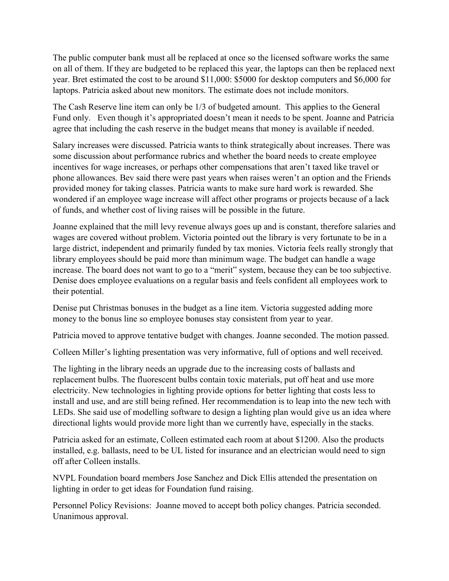The public computer bank must all be replaced at once so the licensed software works the same on all of them. If they are budgeted to be replaced this year, the laptops can then be replaced next year. Bret estimated the cost to be around \$11,000: \$5000 for desktop computers and \$6,000 for laptops. Patricia asked about new monitors. The estimate does not include monitors.

The Cash Reserve line item can only be 1/3 of budgeted amount. This applies to the General Fund only. Even though it's appropriated doesn't mean it needs to be spent. Joanne and Patricia agree that including the cash reserve in the budget means that money is available if needed.

Salary increases were discussed. Patricia wants to think strategically about increases. There was some discussion about performance rubrics and whether the board needs to create employee incentives for wage increases, or perhaps other compensations that aren't taxed like travel or phone allowances. Bev said there were past years when raises weren't an option and the Friends provided money for taking classes. Patricia wants to make sure hard work is rewarded. She wondered if an employee wage increase will affect other programs or projects because of a lack of funds, and whether cost of living raises will be possible in the future.

Joanne explained that the mill levy revenue always goes up and is constant, therefore salaries and wages are covered without problem. Victoria pointed out the library is very fortunate to be in a large district, independent and primarily funded by tax monies. Victoria feels really strongly that library employees should be paid more than minimum wage. The budget can handle a wage increase. The board does not want to go to a "merit" system, because they can be too subjective. Denise does employee evaluations on a regular basis and feels confident all employees work to their potential.

Denise put Christmas bonuses in the budget as a line item. Victoria suggested adding more money to the bonus line so employee bonuses stay consistent from year to year.

Patricia moved to approve tentative budget with changes. Joanne seconded. The motion passed.

Colleen Miller's lighting presentation was very informative, full of options and well received.

The lighting in the library needs an upgrade due to the increasing costs of ballasts and replacement bulbs. The fluorescent bulbs contain toxic materials, put off heat and use more electricity. New technologies in lighting provide options for better lighting that costs less to install and use, and are still being refined. Her recommendation is to leap into the new tech with LEDs. She said use of modelling software to design a lighting plan would give us an idea where directional lights would provide more light than we currently have, especially in the stacks.

Patricia asked for an estimate, Colleen estimated each room at about \$1200. Also the products installed, e.g. ballasts, need to be UL listed for insurance and an electrician would need to sign off after Colleen installs.

NVPL Foundation board members Jose Sanchez and Dick Ellis attended the presentation on lighting in order to get ideas for Foundation fund raising.

Personnel Policy Revisions: Joanne moved to accept both policy changes. Patricia seconded. Unanimous approval.